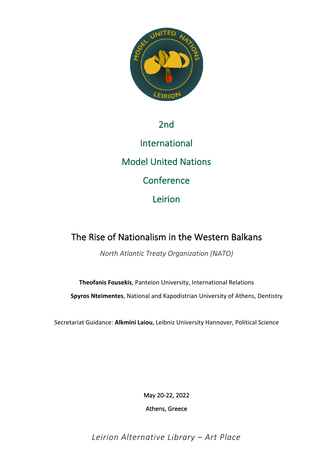

## 2nd

International Model United Nations **Conference** Leirion

# The Rise of Nationalism in the Western Balkans

*North Atlantic Treaty Organization (NATO)*

**Theofanis Fousekis**, Panteion University, International Relations **Spyros Nteimentes**, National and Kapodistrian University of Athens, Dentistry

Secretariat Guidance: **Alkmini Laiou**, Leibniz University Hannover, Political Science

May 20-22, 2022

Athens, Greece

*Leirion Alternative Library – Art Place*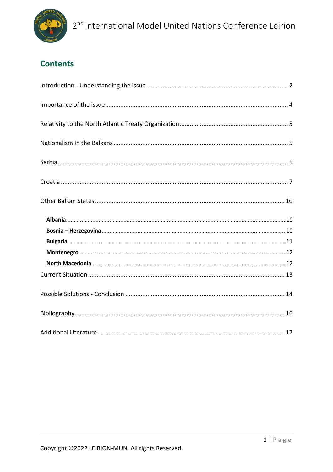

# **Contents**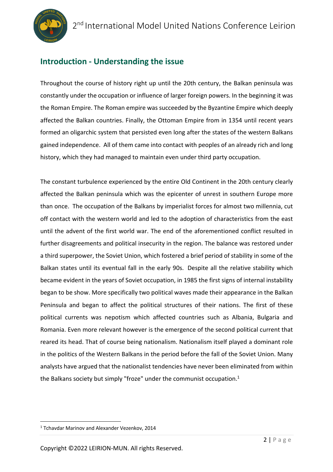

## **Introduction - Understanding the issue**

Throughout the course of history right up until the 20th century, the Balkan peninsula was constantly under the occupation or influence of larger foreign powers. In the beginning it was the Roman Empire. The Roman empire was succeeded by the Byzantine Empire which deeply affected the Balkan countries. Finally, the Ottoman Empire from in 1354 until recent years formed an oligarchic system that persisted even long after the states of the western Balkans gained independence. All of them came into contact with peoples of an already rich and long history, which they had managed to maintain even under third party occupation.

The constant turbulence experienced by the entire Old Continent in the 20th century clearly affected the Balkan peninsula which was the epicenter of unrest in southern Europe more than once. The occupation of the Balkans by imperialist forces for almost two millennia, cut off contact with the western world and led to the adoption of characteristics from the east until the advent of the first world war. The end of the aforementioned conflict resulted in further disagreements and political insecurity in the region. The balance was restored under a third superpower, the Soviet Union, which fostered a brief period of stability in some of the Balkan states until its eventual fall in the early 90s. Despite all the relative stability which became evident in the years of Soviet occupation, in 1985 the first signs of internal instability began to be show. More specifically two political waves made their appearance in the Balkan Peninsula and began to affect the political structures of their nations. The first of these political currents was nepotism which affected countries such as Albania, Bulgaria and Romania. Even more relevant however is the emergence of the second political current that reared its head. That of course being nationalism. Nationalism itself played a dominant role in the politics of the Western Balkans in the period before the fall of the Soviet Union. Many analysts have argued that the nationalist tendencies have never been eliminated from within the Balkans society but simply "froze" under the communist occupation. $1$ 

<sup>1</sup> Tchavdar Marinov and Alexander Vezenkov, 2014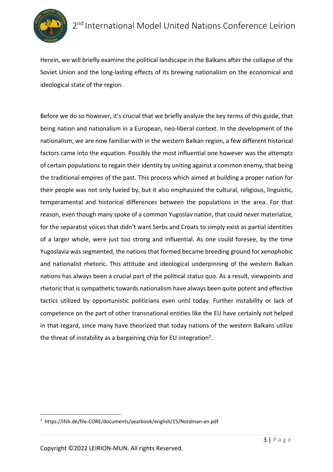

Herein, we will briefly examine the political landscape in the Balkans after the collapse of the Soviet Union and the long-lasting effects of its brewing nationalism on the economical and ideological state of the region.

Before we do so however, it's crucial that we briefly analyze the key terms of this guide, that being nation and nationalism in a European, neo-liberal context. In the development of the nationalism, we are now familiar with in the western Balkan region, a few different historical factors came into the equation. Possibly the most influential one however was the attempts of certain populations to regain their identity by uniting against a common enemy, that being the traditional empires of the past. This process which aimed at building a proper nation for their people was not only fueled by, but it also emphasized the cultural, religious, linguistic, temperamental and historical differences between the populations in the area. For that reason, even though many spoke of a common Yugoslav nation, that could never materialize, for the separatist voices that didn't want Serbs and Croats to simply exist as partial identities of a larger whole, were just too strong and influential. As one could foresee, by the time Yugoslavia was segmented, the nations that formed became breeding ground for xenophobic and nationalist rhetoric. This attitude and ideological underpinning of the western Balkan nations has always been a crucial part of the political status quo. As a result, viewpoints and rhetoric that is sympathetic towards nationalism have always been quite potent and effective tactics utilized by opportunistic politicians even until today. Further instability or lack of competence on the part of other transnational entities like the EU have certainly not helped in that regard, since many have theorized that today nations of the western Balkans utilize the threat of instability as a bargaining chip for EU integration<sup>2</sup>.

<sup>2</sup> https://ifsh.de/file-CORE/documents/yearbook/english/15/Nordman-en.pdf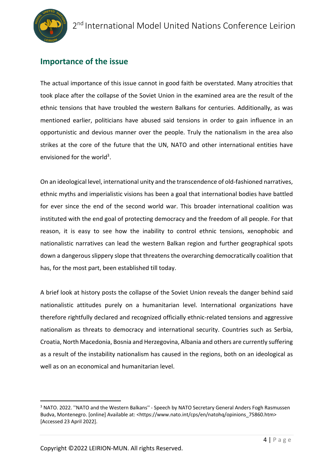

### **Importance of the issue**

The actual importance of this issue cannot in good faith be overstated. Many atrocities that took place after the collapse of the Soviet Union in the examined area are the result of the ethnic tensions that have troubled the western Balkans for centuries. Additionally, as was mentioned earlier, politicians have abused said tensions in order to gain influence in an opportunistic and devious manner over the people. Truly the nationalism in the area also strikes at the core of the future that the UN, NATO and other international entities have envisioned for the world<sup>3</sup>.

On an ideological level, international unity and the transcendence of old-fashioned narratives, ethnic myths and imperialistic visions has been a goal that international bodies have battled for ever since the end of the second world war. This broader international coalition was instituted with the end goal of protecting democracy and the freedom of all people. For that reason, it is easy to see how the inability to control ethnic tensions, xenophobic and nationalistic narratives can lead the western Balkan region and further geographical spots down a dangerous slippery slope that threatens the overarching democratically coalition that has, for the most part, been established till today.

A brief look at history posts the collapse of the Soviet Union reveals the danger behind said nationalistic attitudes purely on a humanitarian level. International organizations have therefore rightfully declared and recognized officially ethnic-related tensions and aggressive nationalism as threats to democracy and international security. Countries such as Serbia, Croatia, North Macedonia, Bosnia and Herzegovina, Albania and others are currently suffering as a result of the instability nationalism has caused in the regions, both on an ideological as well as on an economical and humanitarian level.

<sup>&</sup>lt;sup>3</sup> NATO. 2022. "NATO and the Western Balkans" - Speech by NATO Secretary General Anders Fogh Rasmussen Budva, Montenegro. [online] Available at: <https://www.nato.int/cps/en/natohq/opinions\_75860.htm> [Accessed 23 April 2022].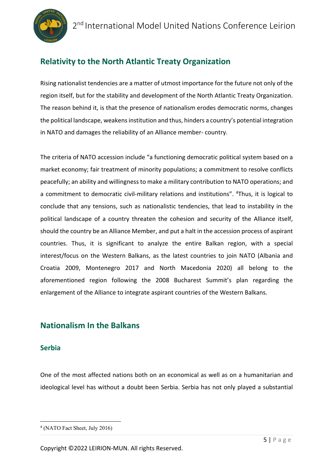

## **Relativity to the North Atlantic Treaty Organization**

Rising nationalist tendencies are a matter of utmost importance for the future not only of the region itself, but for the stability and development of the North Atlantic Treaty Organization. The reason behind it, is that the presence of nationalism erodes democratic norms, changes the political landscape, weakens institution and thus, hinders a country's potential integration in NATO and damages the reliability of an Alliance member- country.

The criteria of NATO accession include "a functioning democratic political system based on a market economy; fair treatment of minority populations; a commitment to resolve conflicts peacefully; an ability and willingness to make a military contribution to NATO operations; and a commitment to democratic civil-military relations and institutions". <sup>4</sup>Thus, it is logical to conclude that any tensions, such as nationalistic tendencies, that lead to instability in the political landscape of a country threaten the cohesion and security of the Alliance itself, should the country be an Alliance Member, and put a halt in the accession process of aspirant countries. Thus, it is significant to analyze the entire Balkan region, with a special interest/focus on the Western Balkans, as the latest countries to join NATO (Albania and Croatia 2009, Montenegro 2017 and North Macedonia 2020) all belong to the aforementioned region following the 2008 Bucharest Summit's plan regarding the enlargement of the Alliance to integrate aspirant countries of the Western Balkans.

### **Nationalism In the Balkans**

### **Serbia**

One of the most affected nations both on an economical as well as on a humanitarian and ideological level has without a doubt been Serbia. Serbia has not only played a substantial

<sup>4</sup> (NATO Fact Sheet, July 2016)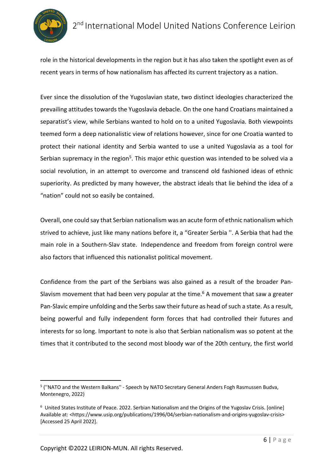

role in the historical developments in the region but it has also taken the spotlight even as of recent years in terms of how nationalism has affected its current trajectory as a nation.

Ever since the dissolution of the Yugoslavian state, two distinct ideologies characterized the prevailing attitudes towards the Yugoslavia debacle. On the one hand Croatians maintained a separatist's view, while Serbians wanted to hold on to a united Yugoslavia. Both viewpoints teemed form a deep nationalistic view of relations however, since for one Croatia wanted to protect their national identity and Serbia wanted to use a united Yugoslavia as a tool for Serbian supremacy in the region<sup>5</sup>. This major ethic question was intended to be solved via a social revolution, in an attempt to overcome and transcend old fashioned ideas of ethnic superiority. As predicted by many however, the abstract ideals that lie behind the idea of a "nation" could not so easily be contained.

Overall, one could say that Serbian nationalism was an acute form of ethnic nationalism which strived to achieve, just like many nations before it, a "Greater Serbia ''. A Serbia that had the main role in a Southern-Slav state. Independence and freedom from foreign control were also factors that influenced this nationalist political movement.

Confidence from the part of the Serbians was also gained as a result of the broader Pan-Slavism movement that had been very popular at the time.<sup>6</sup> A movement that saw a greater Pan-Slavic empire unfolding and the Serbs saw their future as head of such a state. As a result, being powerful and fully independent form forces that had controlled their futures and interests for so long. Important to note is also that Serbian nationalism was so potent at the times that it contributed to the second most bloody war of the 20th century, the first world

<sup>&</sup>lt;sup>5</sup> ("NATO and the Western Balkans" - Speech by NATO Secretary General Anders Fogh Rasmussen Budva, Montenegro, 2022)

<sup>&</sup>lt;sup>6</sup> United States Institute of Peace. 2022. Serbian Nationalism and the Origins of the Yugoslav Crisis. [online] Available at: <https://www.usip.org/publications/1996/04/serbian-nationalism-and-origins-yugoslav-crisis> [Accessed 25 April 2022].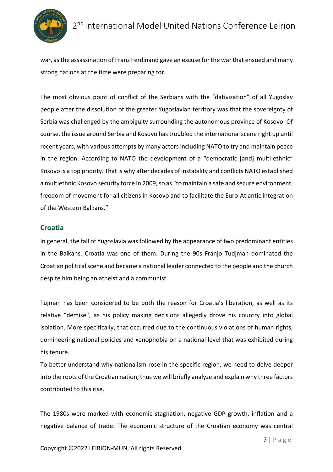

war, as the assassination of Franz Ferdinand gave an excuse for the war that ensued and many strong nations at the time were preparing for.

The most obvious point of conflict of the Serbians with the "dativization" of all Yugoslav people after the dissolution of the greater Yugoslavian territory was that the sovereignty of Serbia was challenged by the ambiguity surrounding the autonomous province of Kosovo. Of course, the issue around Serbia and Kosovo has troubled the international scene right up until recent years, with various attempts by many actors including NATO to try and maintain peace in the region. According to NATO the development of a "democratic [and] multi-ethnic" Kosovo is a top priority. That is why after decades of instability and conflicts NATO established a multiethnic Kosovo security force in 2009, so as "to maintain a safe and secure environment, freedom of movement for all citizens in Kosovo and to facilitate the Euro-Atlantic integration of the Western Balkans."

#### **Croatia**

In general, the fall of Yugoslavia was followed by the appearance of two predominant entities in the Balkans. Croatia was one of them. During the 90s Franjo Tudjman dominated the Croatian political scene and became a national leader connected to the people and the church despite him being an atheist and a communist.

Tujman has been considered to be both the reason for Croatia's liberation, as well as its relative "demise", as his policy making decisions allegedly drove his country into global isolation. More specifically, that occurred due to the continuous violations of human rights, domineering national policies and xenophobia on a national level that was exhibited during his tenure.

To better understand why nationalism rose in the specific region, we need to delve deeper into the roots of the Croatian nation, thus we will briefly analyze and explain why three factors contributed to this rise.

The 1980s were marked with economic stagnation, negative GDP growth, inflation and a negative balance of trade. The economic structure of the Croatian economy was central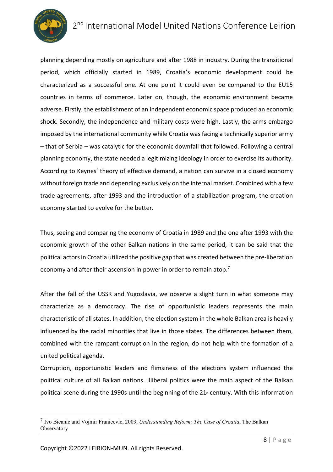# 2<sup>nd</sup> International Model United Nations Conference Leirion



planning depending mostly on agriculture and after 1988 in industry. During the transitional period, which officially started in 1989, Croatia's economic development could be characterized as a successful one. At one point it could even be compared to the EU15 countries in terms of commerce. Later on, though, the economic environment became adverse. Firstly, the establishment of an independent economic space produced an economic shock. Secondly, the independence and military costs were high. Lastly, the arms embargo imposed by the international community while Croatia was facing a technically superior army – that of Serbia – was catalytic for the economic downfall that followed. Following a central planning economy, the state needed a legitimizing ideology in order to exercise its authority. According to Keynes' theory of effective demand, a nation can survive in a closed economy without foreign trade and depending exclusively on the internal market. Combined with a few trade agreements, after 1993 and the introduction of a stabilization program, the creation economy started to evolve for the better.

Thus, seeing and comparing the economy of Croatia in 1989 and the one after 1993 with the economic growth of the other Balkan nations in the same period, it can be said that the political actors in Croatia utilized the positive gap that was created between the pre-liberation economy and after their ascension in power in order to remain atop.<sup>7</sup>

After the fall of the USSR and Yugoslavia, we observe a slight turn in what someone may characterize as a democracy. The rise of opportunistic leaders represents the main characteristic of all states. In addition, the election system in the whole Balkan area is heavily influenced by the racial minorities that live in those states. The differences between them, combined with the rampant corruption in the region, do not help with the formation of a united political agenda.

Corruption, opportunistic leaders and flimsiness of the elections system influenced the political culture of all Balkan nations. Illiberal politics were the main aspect of the Balkan political scene during the 1990s until the beginning of the  $21<sup>s</sup>$  century. With this information

<sup>7</sup> Ivo Bicanic and Vojmir Franicevic, 2003, *Understanding Reform: The Case of Croatia*, The Balkan **Observatory**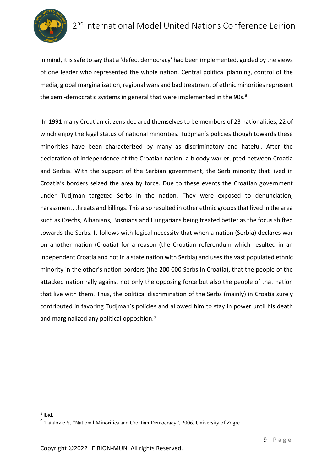

in mind, it is safe to say that a 'defect democracy' had been implemented, guided by the views of one leader who represented the whole nation. Central political planning, control of the media, global marginalization, regional wars and bad treatment of ethnic minorities represent the semi-democratic systems in general that were implemented in the 90s.<sup>8</sup>

In 1991 many Croatian citizens declared themselves to be members of 23 nationalities, 22 of which enjoy the legal status of national minorities. Tudjman's policies though towards these minorities have been characterized by many as discriminatory and hateful. After the declaration of independence of the Croatian nation, a bloody war erupted between Croatia and Serbia. With the support of the Serbian government, the Serb minority that lived in Croatia's borders seized the area by force. Due to these events the Croatian government under Tudjman targeted Serbs in the nation. They were exposed to denunciation, harassment, threats and killings. This also resulted in other ethnic groups that lived in the area such as Czechs, Albanians, Bosnians and Hungarians being treated better as the focus shifted towards the Serbs. It follows with logical necessity that when a nation (Serbia) declares war on another nation (Croatia) for a reason (the Croatian referendum which resulted in an independent Croatia and not in a state nation with Serbia) and uses the vast populated ethnic minority in the other's nation borders (the 200 000 Serbs in Croatia), that the people of the attacked nation rally against not only the opposing force but also the people of that nation that live with them. Thus, the political discrimination of the Serbs (mainly) in Croatia surely contributed in favoring Tudjman's policies and allowed him to stay in power until his death and marginalized any political opposition.<sup>9</sup>

<sup>8</sup> Ibid.

<sup>&</sup>lt;sup>9</sup> Tatalovic S, "National Minorities and Croatian Democracy", 2006, University of Zagre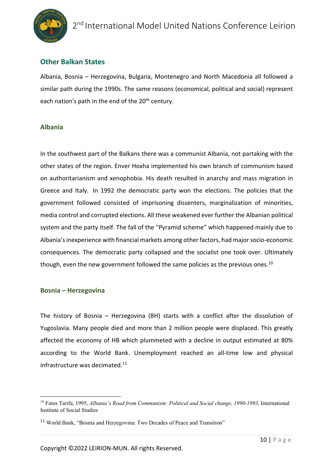

### **Other Balkan States**

Albania, Bosnia – Herzegovina, Bulgaria, Montenegro and North Macedonia all followed a similar path during the 1990s. The same reasons (economical, political and social) represent each nation's path in the end of the 20<sup>th</sup> century.

#### **Albania**

In the southwest part of the Balkans there was a communist Albania, not partaking with the other states of the region. Enver Hoxha implemented his own branch of communism based on authoritarianism and xenophobia. His death resulted in anarchy and mass migration in Greece and Italy. In 1992 the democratic party won the elections. The policies that the government followed consisted of imprisoning dissenters, marginalization of minorities, media control and corrupted elections. All these weakened ever further the Albanian political system and the party itself. The fall of the "Pyramid scheme" which happened mainly due to Albania's inexperience with financial markets among other factors, had major socio-economic consequences. The democratic party collapsed and the socialist one took over. Ultimately though, even the new government followed the same policies as the previous ones.<sup>10</sup>

#### **Bosnia – Herzegovina**

The history of Bosnia – Herzegovina (BH) starts with a conflict after the dissolution of Yugoslavia. Many people died and more than 2 million people were displaced. This greatly affected the economy of HB which plummeted with a decline in output estimated at 80% according to the World Bank. Unemployment reached an all-time low and physical infrastructure was decimated.<sup>11</sup>

<sup>&</sup>lt;sup>10</sup> Fatos Tarifa, 1995, *Albania's Road from Communism: Political and Social change, 1990-1993*, International Institute of Social Studies

<sup>&</sup>lt;sup>11</sup> World Bank, "Bosnia and Herzegovina: Two Decades of Peace and Transition"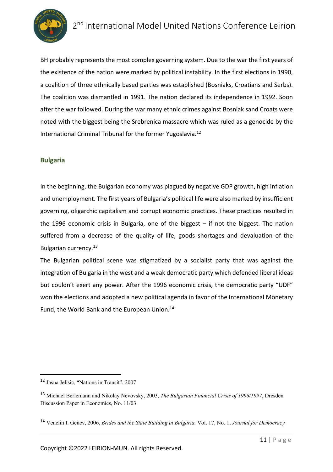

BH probably represents the most complex governing system. Due to the war the first years of the existence of the nation were marked by political instability. In the first elections in 1990, a coalition of three ethnically based parties was established (Bosniaks, Croatians and Serbs). The coalition was dismantled in 1991. The nation declared its independence in 1992. Soon after the war followed. During the war many ethnic crimes against Bosniak sand Croats were noted with the biggest being the Srebrenica massacre which was ruled as a genocide by the International Criminal Tribunal for the former Yugoslavia.12

#### **Bulgaria**

In the beginning, the Bulgarian economy was plagued by negative GDP growth, high inflation and unemployment. The first years of Bulgaria's political life were also marked by insufficient governing, oligarchic capitalism and corrupt economic practices. These practices resulted in the 1996 economic crisis in Bulgaria, one of the biggest – if not the biggest. The nation suffered from a decrease of the quality of life, goods shortages and devaluation of the Bulgarian currency.13

The Bulgarian political scene was stigmatized by a socialist party that was against the integration of Bulgaria in the west and a weak democratic party which defended liberal ideas but couldn't exert any power. After the 1996 economic crisis, the democratic party "UDF" won the elections and adopted a new political agenda in favor of the International Monetary Fund, the World Bank and the European Union.<sup>14</sup>

<sup>12</sup> Jasna Jelisic, "Nations in Transit", 2007

<sup>13</sup> Michael Berlemann and Nikolay Nevovsky, 2003, *The Bulgarian Financial Crisis of 1996/1997*, Dresden Discussion Paper in Economics, No. 11/03

<sup>14</sup> Venelin I. Genev, 2006, *Brides and the State Building in Bulgaria,* Vol. 17, No. 1, *Journal for Democracy*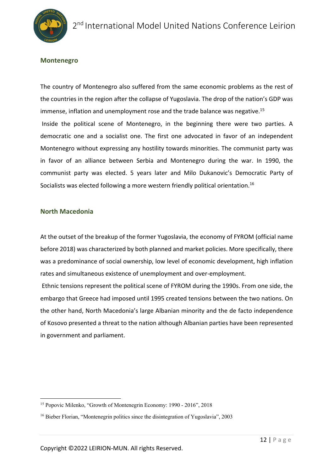

#### **Montenegro**

The country of Montenegro also suffered from the same economic problems as the rest of the countries in the region after the collapse of Yugoslavia. The drop of the nation's GDP was immense, inflation and unemployment rose and the trade balance was negative.<sup>15</sup> Inside the political scene of Montenegro, in the beginning there were two parties. A democratic one and a socialist one. The first one advocated in favor of an independent Montenegro without expressing any hostility towards minorities. The communist party was in favor of an alliance between Serbia and Montenegro during the war. In 1990, the communist party was elected. 5 years later and Milo Dukanovic's Democratic Party of Socialists was elected following a more western friendly political orientation.<sup>16</sup>

#### **North Macedonia**

At the outset of the breakup of the former Yugoslavia, the economy of FYROM (official name before 2018) was characterized by both planned and market policies. More specifically, there was a predominance of social ownership, low level of economic development, high inflation rates and simultaneous existence of unemployment and over-employment.

Ethnic tensions represent the political scene of FYROM during the 1990s. From one side, the embargo that Greece had imposed until 1995 created tensions between the two nations. On the other hand, North Macedonia's large Albanian minority and the de facto independence of Kosovo presented a threat to the nation although Albanian parties have been represented in government and parliament.

<sup>15</sup> Popovic Milenko, "Growth of Montenegrin Economy: 1990 - 2016", 2018

<sup>&</sup>lt;sup>16</sup> Bieber Florian, "Montenegrin politics since the disintegration of Yugoslavia", 2003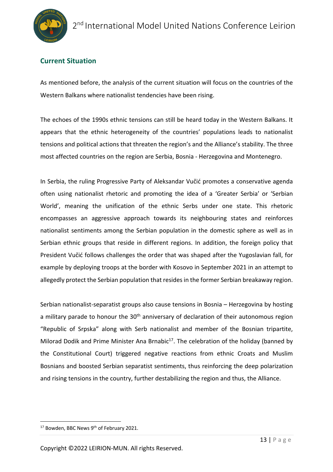### **Current Situation**

As mentioned before, the analysis of the current situation will focus on the countries of the Western Balkans where nationalist tendencies have been rising.

The echoes of the 1990s ethnic tensions can still be heard today in the Western Balkans. It appears that the ethnic heterogeneity of the countries' populations leads to nationalist tensions and political actions that threaten the region's and the Alliance's stability. The three most affected countries on the region are Serbia, Bosnia - Herzegovina and Montenegro.

In Serbia, the ruling Progressive Party of Aleksandar Vučić promotes a conservative agenda often using nationalist rhetoric and promoting the idea of a 'Greater Serbia' or 'Serbian World', meaning the unification of the ethnic Serbs under one state. This rhetoric encompasses an aggressive approach towards its neighbouring states and reinforces nationalist sentiments among the Serbian population in the domestic sphere as well as in Serbian ethnic groups that reside in different regions. In addition, the foreign policy that President Vučić follows challenges the order that was shaped after the Yugoslavian fall, for example by deploying troops at the border with Kosovo in September 2021 in an attempt to allegedly protect the Serbian population that resides in the former Serbian breakaway region.

Serbian nationalist-separatist groups also cause tensions in Bosnia – Herzegovina by hosting a military parade to honour the  $30<sup>th</sup>$  anniversary of declaration of their autonomous region "Republic of Srpska" along with Serb nationalist and member of the Bosnian tripartite, Milorad Dodik and Prime Minister Ana Brnabic $^{17}$ . The celebration of the holiday (banned by the Constitutional Court) triggered negative reactions from ethnic Croats and Muslim Bosnians and boosted Serbian separatist sentiments, thus reinforcing the deep polarization and rising tensions in the country, further destabilizing the region and thus, the Alliance.

<sup>&</sup>lt;sup>17</sup> Bowden, BBC News 9<sup>th</sup> of February 2021.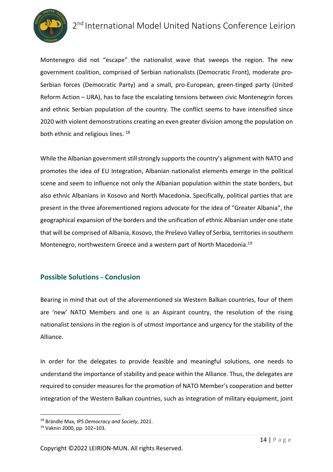

# 2<sup>nd</sup> International Model United Nations Conference Leirion

Montenegro did not "escape" the nationalist wave that sweeps the region. The new government coalition, comprised of Serbian nationalists (Democratic Front), moderate pro-Serbian forces (Democratic Party) and a small, pro-European, green-tinged party (United Reform Action – URA), has to face the escalating tensions between civic Montenegrin forces and ethnic Serbian population of the country. The conflict seems to have intensified since 2020 with violent demonstrations creating an even greater division among the population on both ethnic and religious lines.<sup>18</sup>

While the Albanian government still strongly supports the country's alignment with NATO and promotes the idea of EU Integration, Albanian nationalist elements emerge in the political scene and seem to influence not only the Albanian population within the state borders, but also ethnic Albanians in Kosovo and North Macedonia. Specifically, political parties that are present in the three aforementioned regions advocate for the idea of "Greater Albania", the geographical expansion of the borders and the unification of ethnic Albanian under one state that will be comprised of Albania, Kosovo, the Preševo Valley of Serbia, territories in southern Montenegro, northwestern Greece and a western part of North Macedonia.19

#### **Possible Solutions - Conclusion**

Bearing in mind that out of the aforementioned six Western Balkan countries, four of them are 'new' NATO Members and one is an Aspirant country, the resolution of the rising nationalist tensions in the region is of utmost importance and urgency for the stability of the Alliance.

In order for the delegates to provide feasible and meaningful solutions, one needs to understand the importance of stability and peace within the Alliance. Thus, the delegates are required to consider measures for the promotion of NATO Member's cooperation and better integration of the Western Balkan countries, such as integration of military equipment, joint

<sup>18</sup> Brändle Max, IPS *Democracy and Society*, 2021.

<sup>19</sup> Vaknin 2000, pp. 102–103.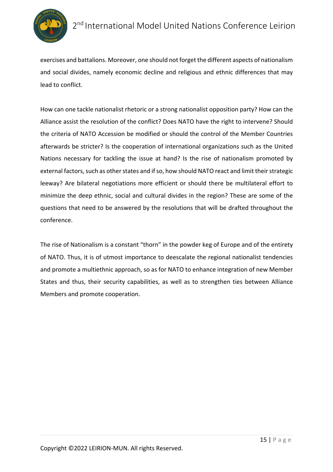

exercises and battalions. Moreover, one should not forget the different aspects of nationalism and social divides, namely economic decline and religious and ethnic differences that may lead to conflict.

How can one tackle nationalist rhetoric or a strong nationalist opposition party? How can the Alliance assist the resolution of the conflict? Does NATO have the right to intervene? Should the criteria of NATO Accession be modified or should the control of the Member Countries afterwards be stricter? Is the cooperation of international organizations such as the United Nations necessary for tackling the issue at hand? Is the rise of nationalism promoted by external factors, such as other states and if so, how should NATO react and limit their strategic leeway? Are bilateral negotiations more efficient or should there be multilateral effort to minimize the deep ethnic, social and cultural divides in the region? These are some of the questions that need to be answered by the resolutions that will be drafted throughout the conference.

The rise of Nationalism is a constant "thorn" in the powder keg of Europe and of the entirety of NATO. Thus, it is of utmost importance to deescalate the regional nationalist tendencies and promote a multiethnic approach, so as for NATO to enhance integration of new Member States and thus, their security capabilities, as well as to strengthen ties between Alliance Members and promote cooperation.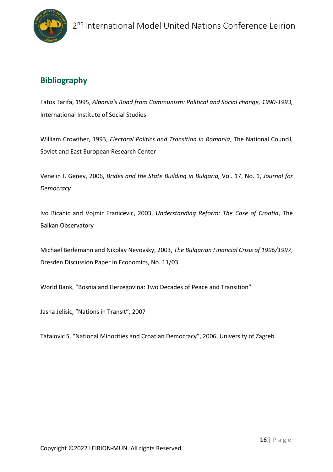

## **Bibliography**

Fatos Tarifa, 1995, *Albania's Road from Communism: Political and Social change, 1990-1993,*  International Institute of Social Studies

William Crowther, 1993, *Electoral Politics and Transition in Romania*, The National Council, Soviet and East European Research Center

Venelin I. Genev, 2006, *Brides and the State Building in Bulgaria,* Vol. 17, No. 1, *Journal for Democracy*

Ivo Bicanic and Vojmir Franicevic, 2003, *Understanding Reform: The Case of Croatia*, The Balkan Observatory

Michael Berlemann and Nikolay Nevovsky, 2003, *The Bulgarian Financial Crisis of 1996/1997*, Dresden Discussion Paper in Economics, No. 11/03

World Bank, "Bosnia and Herzegovina: Two Decades of Peace and Transition"

Jasna Jelisic, "Nations in Transit", 2007

Tatalovic S, "National Minorities and Croatian Democracy", 2006, University of Zagreb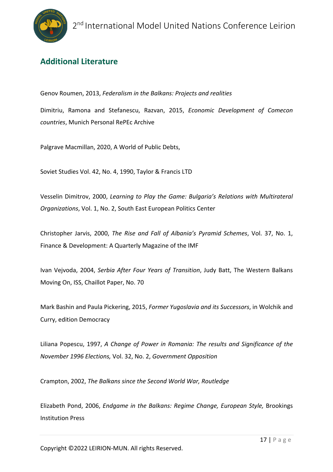## **Additional Literature**

Genov Roumen, 2013, *Federalism in the Balkans: Projects and realities*

Dimitriu, Ramona and Stefanescu, Razvan, 2015, *Economic Development of Comecon countries*, Munich Personal RePEc Archive

Palgrave Macmillan, 2020, A World of Public Debts,

Soviet Studies Vol. 42, No. 4, 1990, Taylor & Francis LTD

Vesselin Dimitrov, 2000, *Learning to Play the Game: Bulgaria's Relations with Multirateral Organizations*, Vol. 1, No. 2, South East European Politics Center

Christopher Jarvis, 2000, *The Rise and Fall of Albania's Pyramid Schemes*, Vol. 37, No. 1, Finance & Development: A Quarterly Magazine of the IMF

Ivan Vejvoda, 2004, *Serbia After Four Years of Transition*, Judy Batt, The Western Balkans Moving On, ISS, Chaillot Paper, No. 70

Mark Bashin and Paula Pickering, 2015, *Former Yugoslavia and its Successors*, in Wolchik and Curry, edition Democracy

Liliana Popescu, 1997, *A Change of Power in Romania: The results and Significance of the November 1996 Elections,* Vol. 32, No. 2, *Government Opposition*

Crampton, 2002, *The Balkans since the Second World War, Routledge*

Elizabeth Pond, 2006, *Endgame in the Balkans: Regime Change, European Style,* Brookings Institution Press